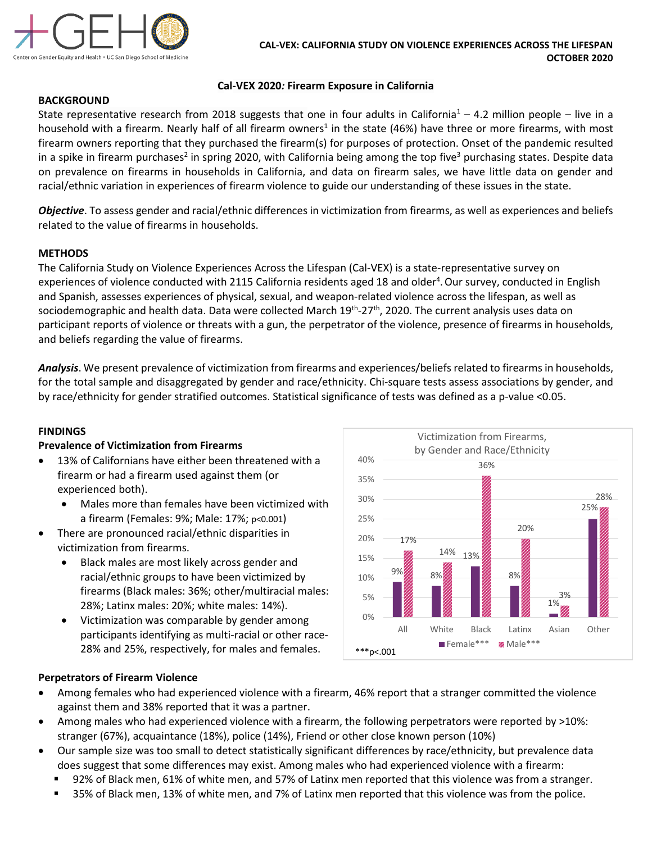

## **Cal-VEX 2020***:* **Firearm Exposure in California**

## **BACKGROUND**

State representative research from 2018 suggests that one in four adults in California<sup>1</sup> – 4.2 million people – live in a household with a firearm. Nearly half of all firearm owners<sup>1</sup> in the state (46%) have three or more firearms, with most firearm owners reporting that they purchased the firearm(s) for purposes of protection. Onset of the pandemic resulted in a spike in firearm purchases<sup>2</sup> in spring 2020, with California being among the top five<sup>3</sup> purchasing states. Despite data on prevalence on firearms in households in California, and data on firearm sales, we have little data on gender and racial/ethnic variation in experiences of firearm violence to guide our understanding of these issues in the state.

*Objective*. To assess gender and racial/ethnic differences in victimization from firearms, as well as experiences and beliefs related to the value of firearms in households.

## **METHODS**

The California Study on Violence Experiences Across the Lifespan (Cal-VEX) is a state-representative survey on experiences of violence conducted with 2115 California residents aged 18 and older<sup>4</sup>. Our survey, conducted in English and Spanish, assesses experiences of physical, sexual, and weapon-related violence across the lifespan, as well as sociodemographic and health data. Data were collected March 19<sup>th</sup>-27<sup>th</sup>, 2020. The current analysis uses data on participant reports of violence or threats with a gun, the perpetrator of the violence, presence of firearms in households, and beliefs regarding the value of firearms.

*Analysis*. We present prevalence of victimization from firearms and experiences/beliefs related to firearms in households, for the total sample and disaggregated by gender and race/ethnicity. Chi-square tests assess associations by gender, and by race/ethnicity for gender stratified outcomes. Statistical significance of tests was defined as a p-value <0.05.

#### **FINDINGS**

## **Prevalence of Victimization from Firearms**

- 13% of Californians have either been threatened with a firearm or had a firearm used against them (or experienced both).
	- Males more than females have been victimized with a firearm (Females: 9%; Male: 17%; p<0.001)
- There are pronounced racial/ethnic disparities in victimization from firearms.
	- Black males are most likely across gender and racial/ethnic groups to have been victimized by firearms (Black males: 36%; other/multiracial males: 28%; Latinx males: 20%; white males: 14%).
	- Victimization was comparable by gender among participants identifying as multi-racial or other race-28% and 25%, respectively, for males and females.



#### **Perpetrators of Firearm Violence**

- Among females who had experienced violence with a firearm, 46% report that a stranger committed the violence against them and 38% reported that it was a partner.
- Among males who had experienced violence with a firearm, the following perpetrators were reported by >10%: stranger (67%), acquaintance (18%), police (14%), Friend or other close known person (10%)
- Our sample size was too small to detect statistically significant differences by race/ethnicity, but prevalence data does suggest that some differences may exist. Among males who had experienced violence with a firearm:
	- 92% of Black men, 61% of white men, and 57% of Latinx men reported that this violence was from a stranger.
	- 35% of Black men, 13% of white men, and 7% of Latinx men reported that this violence was from the police.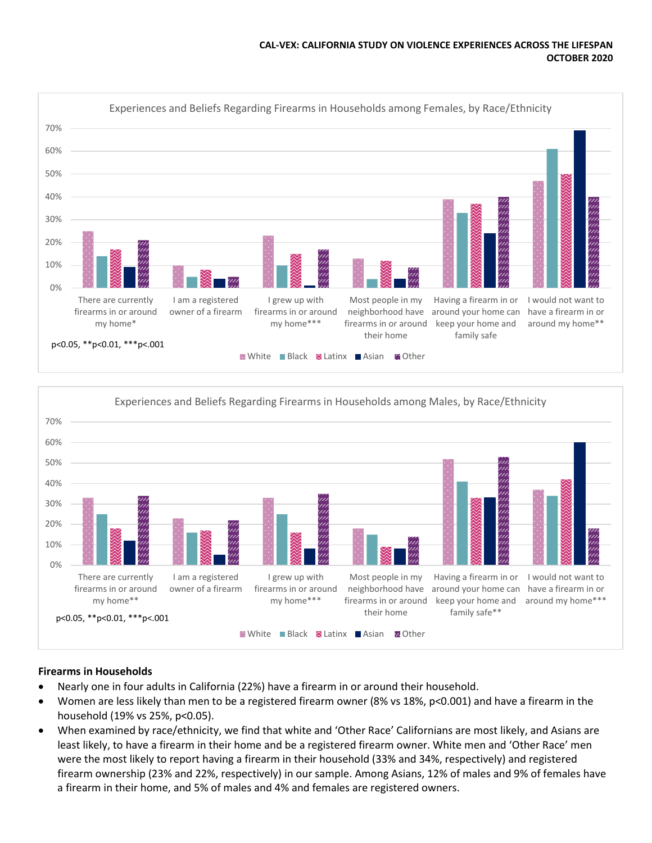#### **CAL-VEX: CALIFORNIA STUDY ON VIOLENCE EXPERIENCES ACROSS THE LIFESPAN OCTOBER 2020**





## **Firearms in Households**

- Nearly one in four adults in California (22%) have a firearm in or around their household.
- Women are less likely than men to be a registered firearm owner (8% vs 18%, p<0.001) and have a firearm in the household (19% vs 25%, p<0.05).
- When examined by race/ethnicity, we find that white and 'Other Race' Californians are most likely, and Asians are least likely, to have a firearm in their home and be a registered firearm owner. White men and 'Other Race' men were the most likely to report having a firearm in their household (33% and 34%, respectively) and registered firearm ownership (23% and 22%, respectively) in our sample. Among Asians, 12% of males and 9% of females have a firearm in their home, and 5% of males and 4% and females are registered owners.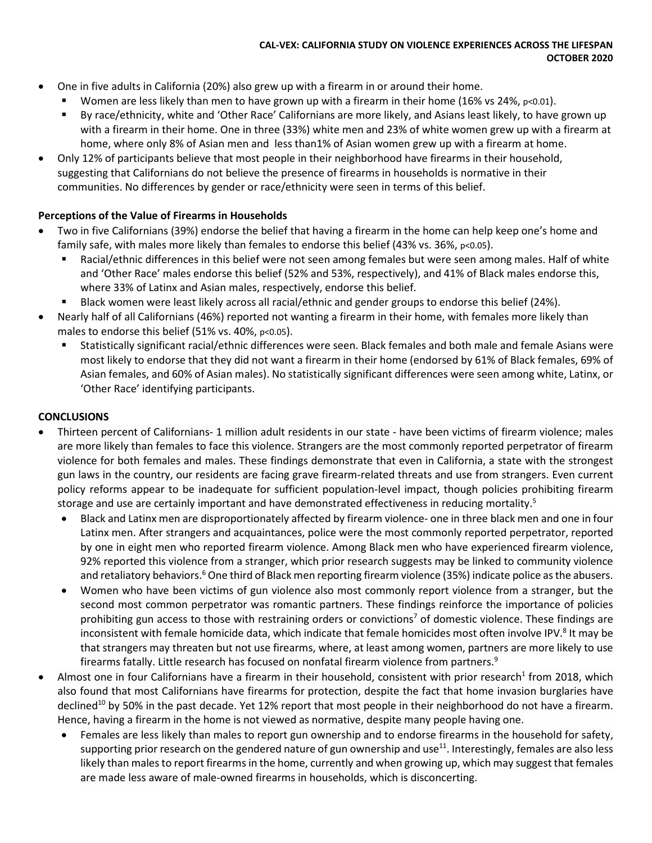## **CAL-VEX: CALIFORNIA STUDY ON VIOLENCE EXPERIENCES ACROSS THE LIFESPAN OCTOBER 2020**

- One in five adults in California (20%) also grew up with a firearm in or around their home.
	- Women are less likely than men to have grown up with a firearm in their home (16% vs 24%,  $p<0.01$ ).
	- By race/ethnicity, white and 'Other Race' Californians are more likely, and Asians least likely, to have grown up with a firearm in their home. One in three (33%) white men and 23% of white women grew up with a firearm at home, where only 8% of Asian men and less than1% of Asian women grew up with a firearm at home.
- Only 12% of participants believe that most people in their neighborhood have firearms in their household, suggesting that Californians do not believe the presence of firearms in households is normative in their communities. No differences by gender or race/ethnicity were seen in terms of this belief.

# **Perceptions of the Value of Firearms in Households**

- Two in five Californians (39%) endorse the belief that having a firearm in the home can help keep one's home and family safe, with males more likely than females to endorse this belief (43% vs. 36%, p<0.05).
	- Racial/ethnic differences in this belief were not seen among females but were seen among males. Half of white and 'Other Race' males endorse this belief (52% and 53%, respectively), and 41% of Black males endorse this, where 33% of Latinx and Asian males, respectively, endorse this belief.
	- **Black women were least likely across all racial/ethnic and gender groups to endorse this belief (24%).**
- Nearly half of all Californians (46%) reported not wanting a firearm in their home, with females more likely than males to endorse this belief  $(51\%$  vs. 40%,  $p<0.05$ ).
	- Statistically significant racial/ethnic differences were seen. Black females and both male and female Asians were most likely to endorse that they did not want a firearm in their home (endorsed by 61% of Black females, 69% of Asian females, and 60% of Asian males). No statistically significant differences were seen among white, Latinx, or 'Other Race' identifying participants.

## **CONCLUSIONS**

- Thirteen percent of Californians- 1 million adult residents in our state have been victims of firearm violence; males are more likely than females to face this violence. Strangers are the most commonly reported perpetrator of firearm violence for both females and males. These findings demonstrate that even in California, a state with the strongest gun laws in the country, our residents are facing grave firearm-related threats and use from strangers. Even current policy reforms appear to be inadequate for sufficient population-level impact, though policies prohibiting firearm storage and use are certainly important and have demonstrated effectiveness in reducing mortality.<sup>5</sup>
	- Black and Latinx men are disproportionately affected by firearm violence- one in three black men and one in four Latinx men. After strangers and acquaintances, police were the most commonly reported perpetrator, reported by one in eight men who reported firearm violence. Among Black men who have experienced firearm violence, 92% reported this violence from a stranger, which prior research suggests may be linked to community violence and retaliatory behaviors.<sup>6</sup> One third of Black men reporting firearm violence (35%) indicate police as the abusers.
	- Women who have been victims of gun violence also most commonly report violence from a stranger, but the second most common perpetrator was romantic partners. These findings reinforce the importance of policies prohibiting gun access to those with restraining orders or convictions<sup>7</sup> of domestic violence. These findings are inconsistent with female homicide data, which indicate that female homicides most often involve IPV.<sup>8</sup> It may be that strangers may threaten but not use firearms, where, at least among women, partners are more likely to use firearms fatally. Little research has focused on nonfatal firearm violence from partners.9
- Almost one in four Californians have a firearm in their household, consistent with prior research<sup>1</sup> from 2018, which also found that most Californians have firearms for protection, despite the fact that home invasion burglaries have declined<sup>10</sup> by 50% in the past decade. Yet 12% report that most people in their neighborhood do not have a firearm. Hence, having a firearm in the home is not viewed as normative, despite many people having one.
	- Females are less likely than males to report gun ownership and to endorse firearms in the household for safety, supporting prior research on the gendered nature of gun ownership and use $^{11}$ . Interestingly, females are also less likely than males to report firearms in the home, currently and when growing up, which may suggest that females are made less aware of male-owned firearms in households, which is disconcerting.